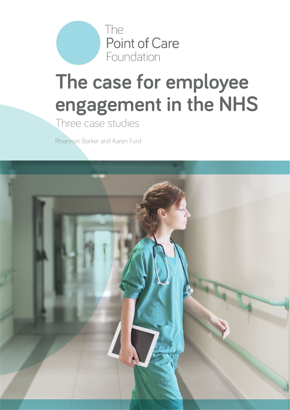

# **The case for employee engagement in the NHS**

Three case studies

Rhiannon Barker and Karen Ford

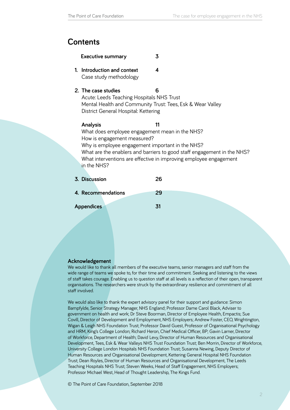# **Contents**

| <b>Executive summary</b> |  |
|--------------------------|--|
|--------------------------|--|

- **1. [Introduction and context](#page-3-0) 4** [Case study methodology](#page-3-0)
- **2. [The case studies](#page-5-0) 6**

[Acute: Leeds Teaching Hospitals NHS Trust](#page-5-0) [Mental Health and Community Trust: Tees, Esk & Wear Valley](#page-6-0) [District General Hospital: Kettering](#page-7-0)

# **[Analysis 11](#page-9-0)** [What does employee engagement mean in the NHS?](#page-10-0) [How is engagement measured?](#page-10-0) [Why is employee engagement important in the NHS?](#page-13-0)  [What are the enablers and barriers to good staff engagement in the NHS?](#page-14-0) [What interventions are effective in improving employee engagement](#page-14-0)  [in the NHS?](#page-14-0)

**3. [Discussion](#page-25-0) 26**

**4. [Recommendations](#page-28-0) 29**

**[Appendices 31](#page-30-0)**

#### **Acknowledgement**

We would like to thank all members of the executive teams, senior managers and staff from the wide range of teams we spoke to, for their time and commitment. Seeking and listening to the views of staff takes courage. Enabling us to question staff at all levels is a reflection of their open, transparent organisations. The researchers were struck by the extraordinary resilience and commitment of all staff involved.

We would also like to thank the expert advisory panel for their support and guidance: Simon Bampfylde, Senior Strategy Manager, NHS England; Professor Dame Carol Black, Adviser to government on health and work; Dr Steve Boorman, Director of Employee Health, Empactis; Sue Covill, Director of Development and Employment, NHS Employers; Andrew Foster, CEO, Wrightington, Wigan & Leigh NHS Foundation Trust; Professor David Guest, Professor of Organisational Psychology and HRM, King's College London; Richard Heron, Chief Medical Officer, BP; Gavin Larner, Director of Workforce, Department of Health; David Levy, Director of Human Resources and Organisational Development, Tees, Esk & Wear Valleys NHS Trust Foundation Trust; Ben Morrin, Director of Workforce, University College London Hospitals NHS Foundation Trust; Susanna Newing, Deputy Director of Human Resources and Organisational Development, Kettering General Hospital NHS Foundation Trust; Dean Royles, Director of Human Resources and Organisational Development, The Leeds Teaching Hospitals NHS Trust; Steven Weeks, Head of Staff Engagement, NHS Employers; Professor Michael West, Head of Thought Leadership, The Kings Fund.

© The Point of Care Foundation, September 2018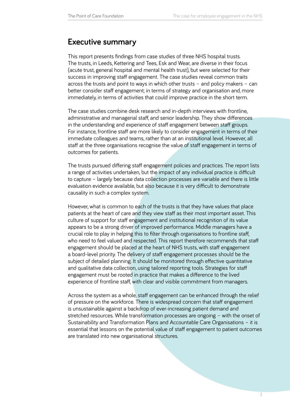# <span id="page-2-0"></span>**Executive summary**

This report presents findings from case studies of three NHS hospital trusts. The trusts, in Leeds, Kettering and Tees, Esk and Wear, are diverse in their focus (acute trust, general hospital and mental health trust), but were selected for their success in improving staff engagement. The case studies reveal common traits across the trusts and point to ways in which other trusts – and policy makers – can better consider staff engagement; in terms of strategy and organisation and, more immediately, in terms of activities that could improve practice in the short term.

The case studies combine desk research and in-depth interviews with frontline, administrative and managerial staff, and senior leadership. They show differences in the understanding and experience of staff engagement between staff groups. For instance, frontline staff are more likely to consider engagement in terms of their immediate colleagues and teams, rather than at an institutional level. However, all staff at the three organisations recognise the value of staff engagement in terms of outcomes for patients.

The trusts pursued differing staff engagement policies and practices. The report lists a range of activities undertaken, but the impact of any individual practice is difficult to capture – largely because data collection processes are variable and there is little evaluation evidence available, but also because it is very difficult to demonstrate causality in such a complex system.

However, what is common to each of the trusts is that they have values that place patients at the heart of care and they view staff as their most important asset. This culture of support for staff engagement and institutional recognition of its value appears to be a strong driver of improved performance. Middle managers have a crucial role to play in helping this to filter through organisations to frontline staff, who need to feel valued and respected. This report therefore recommends that staff engagement should be placed at the heart of NHS trusts, with staff engagement a board-level priority. The delivery of staff engagement processes should be the subject of detailed planning. It should be monitored through effective quantitative and qualitative data collection, using tailored reporting tools. Strategies for staff engagement must be rooted in practice that makes a difference to the lived experience of frontline staff, with clear and visible commitment from managers.

Across the system as a whole, staff engagement can be enhanced through the relief of pressure on the workforce. There is widespread concern that staff engagement is unsustainable against a backdrop of ever-increasing patient demand and stretched resources. While transformation processes are ongoing – with the onset of Sustainability and Transformation Plans and Accountable Care Organisations – it is essential that lessons on the potential value of staff engagement to patient outcomes are translated into new organisational structures.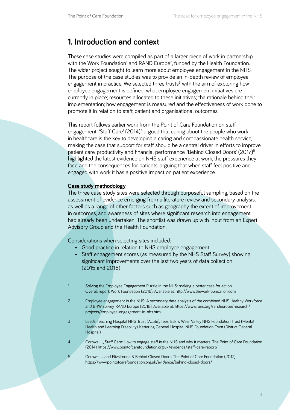# <span id="page-3-0"></span>**1. Introduction and context**

These case studies were compiled as part of a larger piece of work in partnership with the Work Foundation<sup>1</sup> and RAND Europe<sup>2</sup>, funded by the Health Foundation. The wider project sought to learn more about employee engagement in the NHS. The purpose of the case studies was to provide an in-depth review of employee engagement in practice. We selected three trusts<sup>3</sup> with the aim of exploring how employee engagement is defined; what employee engagement initiatives are currently in place; resources allocated to these initiatives; the rationale behind their implementation; how engagement is measured and the effectiveness of work done to promote it in relation to staff, patient and organisational outcomes.

This report follows earlier work from the Point of Care Foundation on staff engagement. 'Staff Care' (2014)<sup>4</sup> argued that caring about the people who work in healthcare is the key to developing a caring and compassionate health service, making the case that support for staff should be a central driver in efforts to improve patient care, productivity and financial performance. 'Behind Closed Doors' (2017)<sup>5</sup> highlighted the latest evidence on NHS staff experience at work, the pressures they face and the consequences for patients, arguing that when staff feel positive and engaged with work it has a positive impact on patient experience.

# **Case study methodology**

The three case study sites were selected through purposeful sampling, based on the assessment of evidence emerging from a literature review and secondary analysis, as well as a range of other factors such as geography, the extent of improvement in outcomes, and awareness of sites where significant research into engagement had already been undertaken. The shortlist was drawn up with input from an Expert Advisory Group and the Health Foundation.

Considerations when selecting sites included:

- Good practice in relation to NHS employee engagement
- Staff engagement scores (as measured by the NHS Staff Survey) showing significant improvements over the last two years of data collection (2015 and 2016)

- 3 Leeds Teaching Hospital NHS Trust (Acute), Tees, Esk & Wear Valley NHS Foundation Trust (Mental Health and Learning Disability), Kettering General Hospital NHS Foundation Trust (District General Hospital)
- 4 Cornwell J, Staff Care: How to engage staff in the NHS and why it matters. The Point of Care Foundation (2014)<https://www.pointofcarefoundation.org.uk/evidence/staff-care-report/>
- 5 Cornwell J and Fitzsimons B, Behind Closed Doors. The Point of Care Foundation (2017) [https://www.pointofcarefoundation.org.uk/evidence/behind-closed-doors/](https://www.pointofcarefoundation.org.uk/evidence/behind-closed-doors/%20%20)

<sup>1</sup> Solving the Employee Engagement Puzzle in the NHS: making a better case for action. Overall report. Work Foundation (2018). Available at: [http://www.theworkfoundation.com](%20http://www.theworkfoundation.com)

<sup>2</sup> Employee engagement in the NHS: A secondary data analysis of the combined NHS Healthy Workforce and BHW survey. RAND Europe (2018). Available at: [https://www.rand.org/randeurope/research/](https://www.rand.org/randeurope/research/projects/employee-engagement-in-nhs.html) [projects/employee-engagement-in-nhs.html](https://www.rand.org/randeurope/research/projects/employee-engagement-in-nhs.html)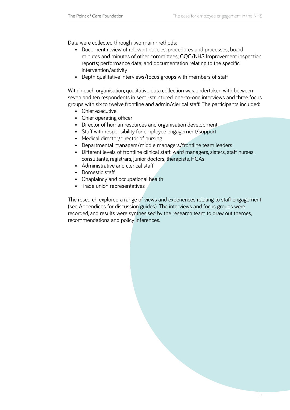Data were collected through two main methods:

- Document review of relevant policies, procedures and processes; board minutes and minutes of other committees; CQC/NHS Improvement inspection reports; performance data; and documentation relating to the specific intervention/activity
- • Depth qualitative interviews/focus groups with members of staff

Within each organisation, qualitative data collection was undertaken with between seven and ten respondents in semi-structured, one-to-one interviews and three focus groups with six to twelve frontline and admin/clerical staff. The participants included:

- Chief executive
- Chief operating officer
- Director of human resources and organisation development
- Staff with responsibility for employee engagement/support
- Medical director/director of nursing
- Departmental managers/middle managers/frontline team leaders
- Different levels of frontline clinical staff: ward managers, sisters, staff nurses, consultants, registrars, junior doctors, therapists, HCAs
- Administrative and clerical staff
- Domestic staff
- Chaplaincy and occupational health
- • Trade union representatives

The research explored a range of views and experiences relating to staff engagement (see Appendices for discussion guides). The interviews and focus groups were recorded, and results were synthesised by the research team to draw out themes, recommendations and policy inferences.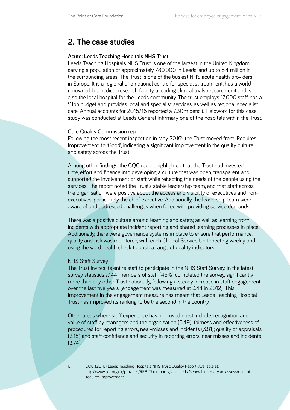# <span id="page-5-0"></span>**2. The case studies**

## **Acute: Leeds Teaching Hospitals NHS Trust**

Leeds Teaching Hospitals NHS Trust is one of the largest in the United Kingdom, serving a population of approximately 780,000 in Leeds, and up to 5.4 million in the surrounding areas. The Trust is one of the busiest NHS acute health providers in Europe. It is a regional and national centre for specialist treatment, has a worldrenowned biomedical research facility, a leading clinical trials research unit and is also the local hospital for the Leeds community. The trust employs 17,000 staff, has a £1bn budget and provides local and specialist services, as well as regional specialist care. Annual accounts for 2015/16 reported a £30m deficit. Fieldwork for this case study was conducted at Leeds General Infirmary, one of the hospitals within the Trust.

#### Care Quality Commission report

Following the most recent inspection in May 2016<sup>6</sup> the Trust moved from 'Requires Improvement' to 'Good', indicating a significant improvement in the quality, culture and safety across the Trust.

Among other findings, the CQC report highlighted that the Trust had invested time, effort and finance into developing a culture that was open, transparent and supported the involvement of staff, while reflecting the needs of the people using the services. The report noted the Trust's stable leadership team, and that staff across the organisation were positive about the access and visibility of executives and nonexecutives, particularly the chief executive. Additionally, the leadership team were aware of and addressed challenges when faced with providing service demands.

There was a positive culture around learning and safety, as well as learning from incidents with appropriate incident reporting and shared learning processes in place. Additionally, there were governance systems in place to ensure that performance, quality and risk was monitored, with each Clinical Service Unit meeting weekly and using the ward health check to audit a range of quality indicators.

#### NHS Staff Survey

The Trust invites its entire staff to participate in the NHS Staff Survey. In the latest survey statistics 7,144 members of staff (46%) completed the survey, significantly more than any other Trust nationally, following a steady increase in staff engagement over the last five years (engagement was measured at 3.44 in 2012). This improvement in the engagement measure has meant that Leeds Teaching Hospital Trust has improved its ranking to be the second in the country.

Other areas where staff experience has improved most include: recognition and value of staff by managers and the organisation (3.49); fairness and effectiveness of procedures for reporting errors, near-misses and incidents (3.81); quality of appraisals (3.15) and staff confidence and security in reporting errors, near misses and incidents  $(3.74)$ .

<sup>6</sup> CQC (2016) Leeds Teaching Hospitals NHS Trust; Quality Report. Available at: [http://www.cqc.org.uk/provider/RR8.](https://www.cqc.org.uk/provider/RR8) The report gives Leeds General Infirmary an assessment of 'requires improvement'.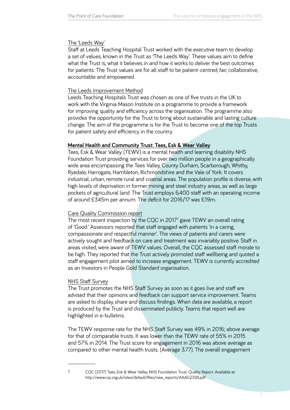# <span id="page-6-0"></span>The 'Leeds Way'

Staff at Leeds Teaching Hospital Trust worked with the executive team to develop a set of values, known in the Trust as 'The Leeds Way'. These values aim to define what the Trust is, what it believes in and how it works to deliver the best outcomes for patients. The Trust values are for all staff to be patient-centred, fair, collaborative, accountable and empowered.

# The Leeds Improvement Method

Leeds Teaching Hospitals Trust was chosen as one of five trusts in the UK to work with the Virginia Mason Institute on a programme to provide a framework for improving quality and efficiency across the organisation. The programme also provides the opportunity for the Trust to bring about sustainable and lasting culture change. The aim of the programme is for the Trust to become one of the top Trusts for patient safety and efficiency in the country.

# **Mental Health and Community Trust: Tees, Esk & Wear Valley**

Tees, Esk & Wear Valley (TEWV) is a mental health and learning disability NHS Foundation Trust providing services for over two million people in a geographically wide area encompassing the Tees Valley, County Durham, Scarborough, Whitby, Ryedale, Harrogate, Hambleton, Richmondshire and the Vale of York. It covers industrial, urban, remote rural and coastal areas. The population profile is diverse, with high levels of deprivation in former mining and steel industry areas, as well as large pockets of agricultural land. The Trust employs 6,400 staff with an operating income of around £345m per annum. The deficit for 2016/17 was £19m.

# Care Quality Commission report

The most recent inspection by the CQC in 2017<sup>7</sup> gave TEWV an overall rating of 'Good.' Assessors reported that staff engaged with patients 'in a caring, compassionate and respectful manner'. The views of patients and carers were actively sought and feedback on care and treatment was invariably positive. Staff in areas visited, were aware of TEWV values. Overall, the CQC assessed staff morale to be high. They reported that the Trust actively promoted staff wellbeing and quoted a staff engagement pilot aimed to increase engagement. TEWV is currently accredited as an Investors in People Gold Standard organisation.

# NHS Staff Survey

The Trust promotes the NHS Staff Survey as soon as it goes live and staff are advised that their opinions and feedback can support service improvement. Teams are asked to display, share and discuss findings. When data are available, a report is produced by the Trust and disseminated publicly. Teams that report well are highlighted in e-bulletins.

The TEWV response rate for the NHS Staff Survey was 49% in 2016; above average for that of comparable trusts. It was lower than the TEWV rate of 55% in 2015 and 57% in 2014. The Trust score for engagement in 2016 was above average as compared to other mental health trusts. (Average 3.77). The overall engagement

<sup>7</sup> CQC (2017) Tees, Esk & Wear Valley NHS Foundation Trust: Quality Report. Available at: [http://www.cqc.org.uk/sites/default/files/new\\_reports/AAAG2395.pdf](http://www.cqc.org.uk/sites/default/files/new_reports/AAAG2395.pdf)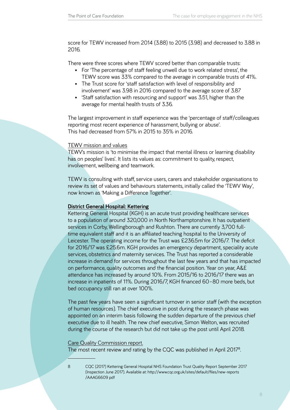<span id="page-7-0"></span>score for TEWV increased from 2014 (3.88) to 2015 (3.98) and decreased to 3.88 in 2016.

There were three scores where TEWV scored better than comparable trusts:

- For 'The percentage of staff feeling unwell due to work related stress', the TEWV score was 33% compared to the average in comparable trusts of 41%.
- The Trust score for 'staff satisfaction with level of responsibility and involvement' was 3.98 in 2016 compared to the average score of 3.87
- 'Staff satisfaction with resourcing and support' was 3.51, higher than the average for mental health trusts of 3.36.

The largest improvement in staff experience was the 'percentage of staff/colleagues reporting most recent experience of harassment, bullying or abuse'. This had decreased from 57% in 2015 to 35% in 2016.

# TEWV mission and values

TEWV's mission is 'to minimise the impact that mental illness or learning disability has on peoples' lives'. It lists its values as: commitment to quality, respect, involvement, wellbeing and teamwork.

TEWV is consulting with staff, service users, carers and stakeholder organisations to review its set of values and behaviours statements, initially called the 'TEWV Way', now known as 'Making a Difference Together'.

## **District General Hospital: Kettering**

Kettering General Hospital (KGH) is an acute trust providing healthcare services to a population of around 320,000 in North Northamptonshire. It has outpatient services in Corby, Wellingborough and Rushton. There are currently 3,700 fulltime equivalent staff and it is an affiliated teaching hospital to the University of Leicester. The operating income for the Trust was £236.5m for 2016/7. The deficit for 2016/17 was £25.6m. KGH provides an emergency department, speciality acute services, obstetrics and maternity services. The Trust has reported a considerable increase in demand for services throughout the last few years and that has impacted on performance, quality outcomes and the financial position. Year on year, A&E attendance has increased by around 10%. From 2015/16 to 2016/17 there was an increase in inpatients of 11%. During 2016/7, KGH financed 60–80 more beds, but bed occupancy still ran at over 100%.

The past few years have seen a significant turnover in senior staff (with the exception of human resources). The chief executive in post during the research phase was appointed on an interim basis following the sudden departure of the previous chief executive due to ill health. The new chief executive, Simon Welton, was recruited during the course of the research but did not take up the post until April 2018.

#### Care Quality Commission report.

The most recent review and rating by the CQC was published in April 2017<sup>8</sup>.

<sup>8</sup> CQC (2017) Kettering General Hospital NHS Foundation Trust Quality Report September 2017 (Inspection June 2017). Available at: [http://www.cqc.org.uk/sites/default/files/new-reports](https://www.cqc.org.uk/sites/default/files/new_reports/AAAG6608.pdf) [/AAAG6609 pdf](https://www.cqc.org.uk/sites/default/files/new_reports/AAAG6608.pdf)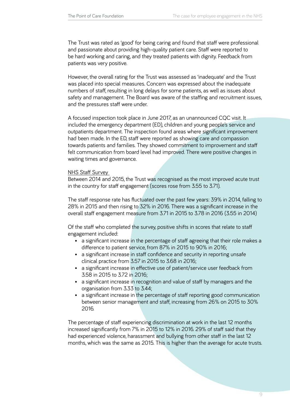The Trust was rated as 'good' for being caring and found that staff were professional and passionate about providing high-quality patient care. Staff were reported to be hard working and caring, and they treated patients with dignity. Feedback from patients was very positive.

However, the overall rating for the Trust was assessed as 'inadequate' and the Trust was placed into special measures. Concern was expressed about the inadequate numbers of staff, resulting in long delays for some patients, as well as issues about safety and management. The Board was aware of the staffing and recruitment issues, and the pressures staff were under.

A focused inspection took place in June 2017, as an unannounced CQC visit. It included the emergency department (ED), children and young people's service and outpatients department. The inspection found areas where significant improvement had been made. In the ED, staff were reported as showing care and compassion towards patients and families. They showed commitment to improvement and staff felt communication from board level had improved. There were positive changes in waiting times and governance.

#### NHS Staff Survey

Between 2014 and 2015, the Trust was recognised as the most improved acute trust in the country for staff engagement (scores rose from 3.55 to 3.71).

The staff response rate has fluctuated over the past few years: 39% in 2014, falling to 28% in 2015 and then rising to 32% in 2016. There was a significant increase in the overall staff engagement measure from 3.71 in 2015 to 3.78 in 2016 (3.55 in 2014)

Of the staff who completed the survey, positive shifts in scores that relate to staff engagement included:

- a significant increase in the percentage of staff agreeing that their role makes a difference to patient service, from 87% in 2015 to 90% in 2016;
- a significant increase in staff confidence and security in reporting unsafe clinical practice from 3.57 in 2015 to 3.68 in 2016;
- a significant increase in effective use of patient/service user feedback from 3.58 in 2015 to 3.72 in 2016;
- a significant increase in recognition and value of staff by managers and the organisation from 3.33 to 3.44;
- a significant increase in the percentage of staff reporting good communication between senior management and staff, increasing from 26% on 2015 to 30% 2016.

The percentage of staff experiencing discrimination at work in the last 12 months increased significantly from 7% in 2015 to 12% in 2016. 29% of staff said that they had experienced violence, harassment and bullying from other staff in the last 12 months, which was the same as 2015. This is higher than the average for acute trusts.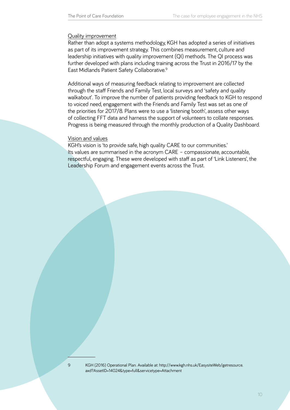#### <span id="page-9-0"></span>Quality improvement

Rather than adopt a systems methodology, KGH has adopted a series of initiatives as part of its improvement strategy. This combines measurement, culture and leadership initiatives with quality improvement (QI) methods. The QI process was further developed with plans including training across the Trust in 2016/17 by the East Midlands Patient Safety Collaborative.9

Additional ways of measuring feedback relating to improvement are collected through the staff Friends and Family Test, local surveys and 'safety and quality walkabout'. To improve the number of patients providing feedback to KGH to respond to voiced need, engagement with the Friends and Family Test was set as one of the priorities for 2017/8. Plans were to use a 'listening booth', assess other ways of collecting FFT data and harness the support of volunteers to collate responses. Progress is being measured through the monthly production of a Quality Dashboard.

## Vision and values

KGH's vision is 'to provide safe, high quality CARE to our communities.' Its values are summarised in the acronym CARE – compassionate, accountable, respectful, engaging. These were developed with staff as part of 'Link Listeners', the Leadership Forum and engagement events across the Trust.

9 KGH (2016) Operational Plan. Available at: [http://www.kgh.nhs.uk/EasysiteWeb/getresource.](http://www.kgh.nhs.uk/EasySiteWeb/GatewayLink.aspx?alId=14024)  [axd?AssetID=14024&type=full&servicetype=Attachment](http://www.kgh.nhs.uk/EasySiteWeb/GatewayLink.aspx?alId=14024)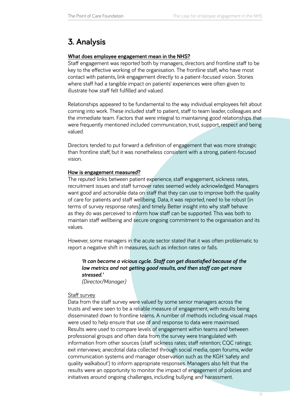# <span id="page-10-0"></span>**3. Analysis**

# **What does employee engagement mean in the NHS?**

Staff engagement was reported both by managers, directors and frontline staff to be key to the effective working of the organisation. The frontline staff, who have most contact with patients, link engagement directly to a patient-focused vision. Stories where staff had a tangible impact on patients' experiences were often given to illustrate how staff felt fulfilled and valued.

Relationships appeared to be fundamental to the way individual employees felt about coming into work. These included staff to patient, staff to team leader, colleagues and the immediate team. Factors that were integral to maintaining good relationships that were frequently mentioned included communication, trust, support, respect and being valued.

Directors tended to put forward a definition of engagement that was more strategic than frontline staff, but it was nonetheless consistent with a strong, patient-focused vision.

# **How is engagement measured?**

The reputed links between patient experience, staff engagement, sickness rates, recruitment issues and staff turnover rates seemed widely acknowledged. Managers want good and actionable data on staff that they can use to improve both the quality of care for patients and staff wellbeing. Data, it was reported, need to be robust (in terms of survey response rates) and timely. Better insight into why staff behave as they do was perceived to inform how staff can be supported. This was both to maintain staff wellbeing and secure ongoing commitment to the organisation and its values.

However, some managers in the acute sector stated that it was often problematic to report a negative shift in measures, such as infection rates or falls.

# *'It can become a vicious cycle. Staff can get dissatisfied because of the low metrics and not getting good results, and then staff can get more stressed.'*

*(Director/Manager)*

# Staff survey

Data from the staff survey were valued by some senior managers across the trusts and were seen to be a reliable measure of engagement, with results being disseminated down to frontline teams. A number of methods including visual maps were used to help ensure that use of and response to data were maximised. Results were used to compare levels of engagement within teams and between professional groups and often data from the survey were triangulated with information from other sources (staff sickness rates; staff retention; CQC ratings; exit interviews; anecdotal data collected through social media, open forums, wider communication systems and manager observation such as the KGH 'safety and quality walkabout') to inform appropriate responses. Managers also felt that the results were an opportunity to monitor the impact of engagement of policies and initiatives around ongoing challenges, including bullying and harassment.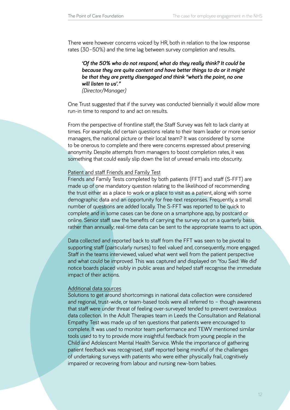There were however concerns voiced by HR, both in relation to the low response rates (30–50%) and the time lag between survey completion and results.

*'Of the 50% who do not respond, what do they really think? It could be because they are quite content and have better things to do or it might be that they are pretty disengaged and think "what's the point, no one will listen to us'." (Director/Manager)*

One Trust suggested that if the survey was conducted biennially it would allow more run-in time to respond to and act on results.

From the perspective of frontline staff, the Staff Survey was felt to lack clarity at times. For example, did certain questions relate to their team leader or more senior managers, the national picture or their local team? It was considered by some to be onerous to complete and there were concerns expressed about preserving anonymity. Despite attempts from managers to boost completion rates, it was something that could easily slip down the list of unread emails into obscurity.

#### Patient and staff Friends and Family Test

Friends and Family Tests completed by both patients (FFT) and staff (S-FFT) are made up of one mandatory question relating to the likelihood of recommending the trust either as a place to work or a place to visit as a patient, along with some demographic data and an opportunity for free-text responses. Frequently, a small number of questions are added locally. The S-FFT was reported to be quick to complete and in some cases can be done on a smartphone app, by postcard or online. Senior staff saw the benefits of carrying the survey out on a quarterly basis rather than annually; real-time data can be sent to the appropriate teams to act upon.

Data collected and reported back to staff from the FFT was seen to be pivotal to supporting staff (particularly nurses) to feel valued and, consequently, more engaged. Staff in the teams interviewed, valued what went well from the patient perspective and what could be improved. This was captured and displayed on 'You Said: We did' notice boards placed visibly in public areas and helped staff recognise the immediate impact of their actions.

#### Additional data sources

Solutions to get around shortcomings in national data collection were considered and regional, trust-wide, or team-based tools were all referred to – though awareness that staff were under threat of feeling over-surveyed tended to prevent overzealous data collection. In the Adult Therapies team in Leeds the Consultation and Relational Empathy Test was made up of ten questions that patients were encouraged to complete. It was used to monitor team performance and TEWV mentioned similar tools used to try to provide more insightful feedback from young people in the Child and Adolescent Mental Health Service. While the importance of gathering patient feedback was recognised, staff reported being mindful of the challenges of undertaking surveys with patients who were either physically frail, cognitively impaired or recovering from labour and nursing new-born babies.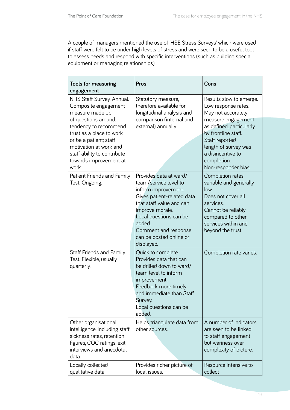A couple of managers mentioned the use of 'HSE Stress Surveys' which were used if staff were felt to be under high levels of stress and were seen to be a useful tool to assess needs and respond with specific interventions (such as building special equipment or managing relationships).

| <b>Tools for measuring</b><br>engagement                                                                                                                     | Pros                                                                                                                                                                                                                                                     | Cons                                                                                                                                                                         |
|--------------------------------------------------------------------------------------------------------------------------------------------------------------|----------------------------------------------------------------------------------------------------------------------------------------------------------------------------------------------------------------------------------------------------------|------------------------------------------------------------------------------------------------------------------------------------------------------------------------------|
| NHS Staff Survey. Annual.<br>Composite engagement<br>measure made up                                                                                         | Statutory measure,<br>therefore available for<br>longitudinal analysis and                                                                                                                                                                               | Results slow to emerge.<br>Low response rates.<br>May not accurately                                                                                                         |
| of questions around:<br>tendency to recommend<br>trust as a place to work<br>or be a patient; staff<br>motivation at work and<br>staff ability to contribute | comparison (internal and<br>external) annually.                                                                                                                                                                                                          | measure engagement<br>as defined, particularly<br>by frontline staff.<br>Staff reported<br>length of survey was<br>a disincentive to                                         |
| towards improvement at<br>work.                                                                                                                              |                                                                                                                                                                                                                                                          | completion.<br>Non-responder bias.                                                                                                                                           |
| Patient Friends and Family<br>Test. Ongoing.                                                                                                                 | Provides data at ward/<br>team/service level to<br>inform improvement.<br>Gives patient-related data<br>that staff value and can<br>improve morale.<br>Local questions can be<br>added.<br>Comment and response<br>can be posted online or<br>displayed. | Completion rates<br>variable and generally<br>low.<br>Does not cover all<br>services.<br>Cannot be reliably<br>compared to other<br>services within and<br>beyond the trust. |
| <b>Staff Friends and Family</b><br>Test. Flexible, usually<br>quarterly.                                                                                     | Quick to complete.<br>Provides data that can<br>be drilled down to ward/<br>team level to inform<br>improvement.<br>Feedback more timely<br>and immediate than Staff<br>Survey.<br>Local questions can be<br>added.                                      | Completion rate varies.                                                                                                                                                      |
| Other organisational<br>intelligence, including staff<br>sickness rates, retention<br>figures, CQC ratings, exit<br>interviews and anecdotal<br>data.        | Helps triangulate data from<br>other sources.                                                                                                                                                                                                            | A number of indicators<br>are seen to be linked<br>to staff engagement<br>but wariness over<br>complexity of picture.                                                        |
| Locally collected<br>qualitative data.                                                                                                                       | Provides richer picture of<br>local issues.                                                                                                                                                                                                              | Resource intensive to<br>collect                                                                                                                                             |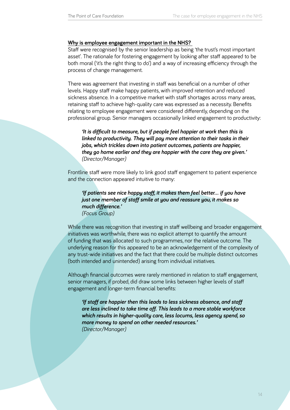#### <span id="page-13-0"></span>**Why is employee engagement important in the NHS?**

Staff were recognised by the senior leadership as being 'the trust's most important asset'. The rationale for fostering engagement by looking after staff appeared to be both moral ('it's the right thing to do') and a way of increasing efficiency through the process of change management.

There was agreement that investing in staff was beneficial on a number of other levels. Happy staff make happy patients, with improved retention and reduced sickness absence. In a competitive market with staff shortages across many areas, retaining staff to achieve high-quality care was expressed as a necessity. Benefits relating to employee engagement were considered differently, depending on the professional group. Senior managers occasionally linked engagement to productivity:

*'It is difficult to measure, but if people feel happier at work then this is linked to productivity. They will pay more attention to their tasks in their jobs, which trickles down into patient outcomes, patients are happier, they go home earlier and they are happier with the care they are given.' (Director/Manager)*

Frontline staff were more likely to link good staff engagement to patient experience and the connection appeared intuitive to many:

*'If patients see nice happy staff, it makes them feel better… if you have just one member of staff smile at you and reassure you, it makes so much difference.' (Focus Group)*

While there was recognition that investing in staff wellbeing and broader engagement initiatives was worthwhile, there was no explicit attempt to quantify the amount of funding that was allocated to such programmes, nor the relative outcome. The underlying reason for this appeared to be an acknowledgement of the complexity of any trust-wide initiatives and the fact that there could be multiple distinct outcomes (both intended and unintended) arising from individual initiatives.

Although financial outcomes were rarely mentioned in relation to staff engagement, senior managers, if probed, did draw some links between higher levels of staff engagement and longer-term financial benefits:

*'If staff are happier then this leads to less sickness absence, and staff are less inclined to take time off. This leads to a more stable workforce which results in higher-quality care, less locums, less agency spend, so more money to spend on other needed resources.' (Director/Manager)*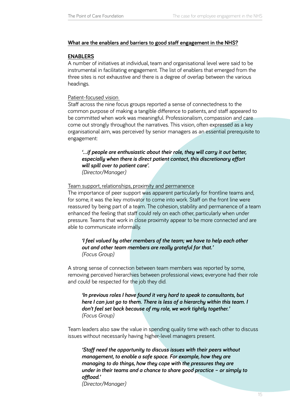# <span id="page-14-0"></span>**What are the enablers and barriers to good staff engagement in the NHS?**

# **ENABLERS**

A number of initiatives at individual, team and organisational level were said to be instrumental in facilitating engagement. The list of enablers that emerged from the three sites is not exhaustive and there is a degree of overlap between the various headings.

# Patient-focused vision

Staff across the nine focus groups reported a sense of connectedness to the common purpose of making a tangible difference to patients, and staff appeared to be committed when work was meaningful. Professionalism, compassion and care come out strongly throughout the narratives. This vision, often expressed as a key organisational aim, was perceived by senior managers as an essential prerequisite to engagement:

*'…if people are enthusiastic about their role, they will carry it out better, especially when there is direct patient contact, this discretionary effort will spill over to patient care'. (Director/Manager)*

# Team support, relationships, proximity and permanence

The importance of peer support was apparent particularly for frontline teams and, for some, it was the key motivator to come into work. Staff on the front line were reassured by being part of a team. The cohesion, stability and permanence of a team enhanced the feeling that staff could rely on each other, particularly when under pressure. Teams that work in close proximity appear to be more connected and are able to communicate informally.

# *'I feel valued by other members of the team; we have to help each other out and other team members are really grateful for that.' (Focus Group)*

A strong sense of connection between team members was reported by some, removing perceived hierarchies between professional views; everyone had their role and could be respected for the job they did.

*'In previous roles I have found it very hard to speak to consultants, but here I can just go to them. There is less of a hierarchy within this team. I don't feel set back because of my role, we work tightly together.' (Focus Group)* 

Team leaders also saw the value in spending quality time with each other to discuss issues without necessarily having higher-level managers present.

*'Staff need the opportunity to discuss issues with their peers without management, to enable a safe space. For example, how they are managing to do things, how they cope with the pressures they are under in their teams and a chance to share good practice – or simply to offload.' (Director/Manager)*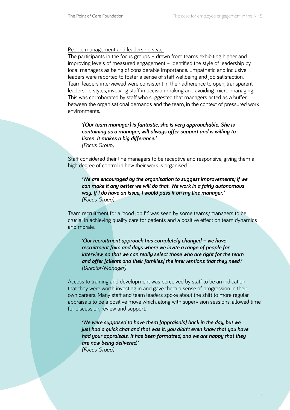### People management and leadership style

The participants in the focus groups – drawn from teams exhibiting higher and improving levels of measured engagement – identified the style of leadership by local managers as being of considerable importance. Empathetic and inclusive leaders were reported to foster a sense of staff wellbeing and job satisfaction. Team leaders interviewed were consistent in their adherence to open, transparent leadership styles, involving staff in decision making and avoiding micro-managing. This was corroborated by staff who suggested that managers acted as a buffer between the organisational demands and the team, in the context of pressured work environments.

*'(Our team manager) is fantastic, she is very approachable. She is containing as a manager, will always offer support and is willing to listen. It makes a big difference.' (Focus Group)*

Staff considered their line managers to be receptive and responsive, giving them a high degree of control in how their work is organised.

*'We are encouraged by the organisation to suggest improvements; if we can make it any better we will do that. We work in a fairly autonomous way. If I do have an issue, I would pass it on my line manager.' (Focus Group)*

Team recruitment for a 'good job fit' was seen by some teams/managers to be crucial in achieving quality care for patients and a positive effect on team dynamics and morale.

*'Our recruitment approach has completely changed – we have recruitment fairs and days where we invite a range of people for interview, so that we can really select those who are right for the team and offer [clients and their families] the interventions that they need.' (Director/Manager)* 

Access to training and development was perceived by staff to be an indication that they were worth investing in and gave them a sense of progression in their own careers. Many staff and team leaders spoke about the shift to more regular appraisals to be a positive move which, along with supervision sessions, allowed time for discussion, review and support.

*'We were supposed to have them [appraisals] back in the day, but we just had a quick chat and that was it, you didn't even know that you have had your appraisals. It has been formatted, and we are happy that they are now being delivered.' (Focus Group)*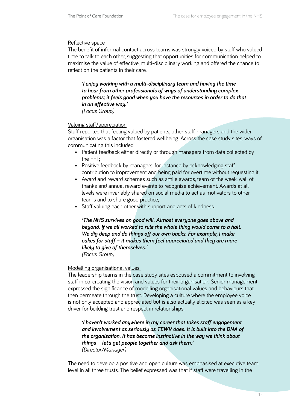# Reflective space

The benefit of informal contact across teams was strongly voiced by staff who valued time to talk to each other, suggesting that opportunities for communication helped to maximise the value of effective, multi-disciplinary working and offered the chance to reflect on the patients in their care.

*'I enjoy working with a multi-disciplinary team and having the time to hear from other professionals of ways of understanding complex problems; it feels good when you have the resources in order to do that in an effective way.' (Focus Group)*

# Valuing staff/appreciation

Staff reported that feeling valued by patients, other staff, managers and the wider organisation was a factor that fostered wellbeing. Across the case study sites, ways of communicating this included:

- Patient feedback either directly or through managers from data collected by the FFT;
- Positive feedback by managers, for instance by acknowledging staff contribution to improvement and being paid for overtime without requesting it;
- Award and reward schemes such as smile awards, team of the week, wall of thanks and annual reward events to recognise achievement. Awards at all levels were invariably shared on social media to act as motivators to other teams and to share good practice;
- Staff valuing each other with support and acts of kindness.

*'The NHS survives on good will. Almost everyone goes above and beyond. If we all worked to rule the whole thing would come to a halt. We dig deep and do things off our own backs. For example, I make cakes for staff – it makes them feel appreciated and they are more likely to give of themselves.'* 

*(Focus Group)*

# Modelling organisational values

The leadership teams in the case study sites espoused a commitment to involving staff in co-creating the vision and values for their organisation. Senior management expressed the significance of modelling organisational values and behaviours that then permeate through the trust. Developing a culture where the employee voice is not only accepted and appreciated but is also actually elicited was seen as a key driver for building trust and respect in relationships.

*'I haven't worked anywhere in my career that takes staff engagement and involvement as seriously as TEWV does. It is built into the DNA of the organisation. It has become instinctive in the way we think about things – let's get people together and ask them.' (Director/Manager)*

The need to develop a positive and open culture was emphasised at executive team level in all three trusts. The belief expressed was that if staff were travelling in the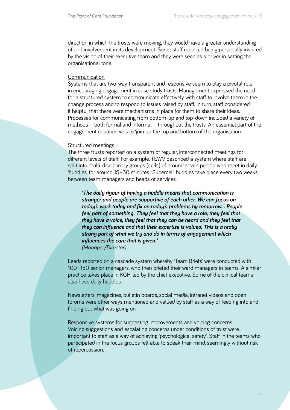direction in which the trusts were moving, they would have a greater understanding of and involvement in its development. Some staff reported being personally inspired by the vision of their executive team and they were seen as a driver in setting the organisational tone.

#### Communication

Systems that are two-way, transparent and responsive seem to play a pivotal role in encouraging engagement in case study trusts. Management expressed the need for a structured system to communicate effectively with staff to involve them in the change process and to respond to issues raised by staff. In turn, staff considered it helpful that there were mechanisms in place for them to share their ideas. Processes for communicating from bottom-up and top-down included a variety of methods – both formal and informal – throughout the trusts. An essential part of the engagement equation was to 'join up the top and bottom of the organisation'.

#### Structured meetings

also have daily huddles.

The three trusts reported on a system of regular, interconnected meetings for different levels of staff. For example, TEWV described a system where staff are split into multi-disciplinary groups (cells) of around seven people who meet in daily 'huddles' for around 15–30 minutes. 'Supercell' huddles take place every two weeks between team managers and heads of services.

*'The daily rigour of having a huddle means that communication is stronger and people are supportive of each other. We can focus on today's work today and fix on today's problems by tomorrow... People feel part of something. They feel that they have a role, they feel that they have a voice, they feel that they can be heard and they feel that they can influence and that their expertise is valued. This is a really strong part of what we try and do in terms of engagement which influences the care that is given.' (Manager/Director)*

Leeds reported on a cascade system whereby 'Team Briefs' were conducted with 100–150 senior managers, who then briefed their ward managers in teams. A similar practice takes place in KGH, led by the chief executive. Some of the clinical teams

Newsletters, magazines, bulletin boards, social media, intranet videos and open forums were other ways mentioned and valued by staff as a way of feeding into and finding out what was going on.

Responsive systems for suggesting improvements and voicing concerns Voicing suggestions and escalating concerns under conditions of trust were important to staff as a way of achieving 'psychological safety'. Staff in the teams who participated in the focus groups felt able to speak their mind, seemingly without risk of repercussion.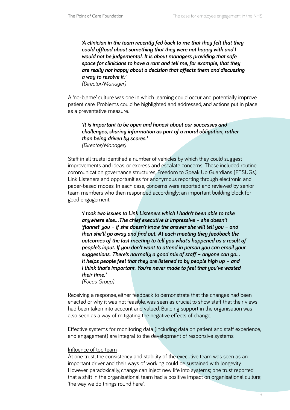*'A clinician in the team recently fed back to me that they felt that they could offload about something that they were not happy with and I would not be judgemental. It is about managers providing that safe space for clinicians to have a rant and tell me, for example, that they are really not happy about a decision that affects them and discussing a way to resolve it.'* 

*(Director/Manager)*

A 'no-blame' culture was one in which learning could occur and potentially improve patient care. Problems could be highlighted and addressed, and actions put in place as a preventative measure.

*'It is important to be open and honest about our successes and challenges, sharing information as part of a moral obligation, rather than being driven by scores.' (Director/Manager)*

Staff in all trusts identified a number of vehicles by which they could suggest improvements and ideas, or express and escalate concerns. These included routine communication governance structures, Freedom to Speak Up Guardians (FTSUGs), Link Listeners and opportunities for anonymous reporting through electronic and paper-based modes. In each case, concerns were reported and reviewed by senior team members who then responded accordingly; an important building block for good engagement.

*'I took two issues to Link Listeners which I hadn't been able to take anywhere else...The chief executive is impressive – she doesn't 'flannel' you – if she doesn't know the answer she will tell you – and then she'll go away and find out. At each meeting they feedback the outcomes of the last meeting to tell you what's happened as a result of people's input. If you don't want to attend in person you can email your suggestions. There's normally a good mix of staff – anyone can go... It helps people feel that they are listened to by people high up – and I think that's important. You're never made to feel that you've wasted their time.' (Focus Group)*

Receiving a response, either feedback to demonstrate that the changes had been enacted or why it was not feasible, was seen as crucial to show staff that their views had been taken into account and valued. Building support in the organisation was also seen as a way of mitigating the negative effects of change.

Effective systems for monitoring data (including data on patient and staff experience, and engagement) are integral to the development of responsive systems.

#### Influence of top team

At one trust, the consistency and stability of the executive team was seen as an important driver and their ways of working could be sustained with longevity. However, paradoxically, change can inject new life into systems; one trust reported that a shift in the organisational team had a positive impact on organisational culture; 'the way we do things round here'.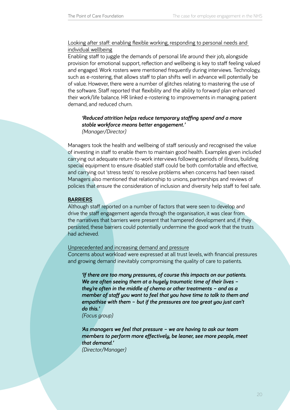# Looking after staff: enabling flexible working, responding to personal needs and individual wellbeing

Enabling staff to juggle the demands of personal life around their job, alongside provision for emotional support, reflection and wellbeing is key to staff feeling valued and engaged. Work rosters were mentioned frequently during interviews. Technology, such as e-rostering, that allows staff to plan shifts well in advance will potentially be of value. However, there were a number of glitches relating to mastering the use of the software. Staff reported that flexibility and the ability to forward plan enhanced their work/life balance. HR linked e-rostering to improvements in managing patient demand, and reduced churn.

# *'Reduced attrition helps reduce temporary staffing spend and a more stable workforce means better engagement.' (Manager/Director)*

Managers took the health and wellbeing of staff seriously and recognised the value of investing in staff to enable them to maintain good health. Examples given included carrying out adequate return-to-work interviews following periods of illness, building special equipment to ensure disabled staff could be both comfortable and effective, and carrying out 'stress tests' to resolve problems when concerns had been raised. Managers also mentioned that relationship to unions, partnerships and reviews of policies that ensure the consideration of inclusion and diversity help staff to feel safe.

#### **BARRIERS**

Although staff reported on a number of factors that were seen to develop and drive the staff engagement agenda through the organisation, it was clear from the narratives that barriers were present that hampered development and, if they persisted, these barriers could potentially undermine the good work that the trusts had achieved.

#### Unprecedented and increasing demand and pressure

Concerns about workload were expressed at all trust levels, with financial pressures and growing demand inevitably compromising the quality of care to patients.

*'If there are too many pressures, of course this impacts on our patients. We are often seeing them at a hugely traumatic time of their lives – they're often in the middle of chemo or other treatments – and as a member of staff you want to feel that you have time to talk to them and empathise with them – but if the pressures are too great you just can't do this.'* 

*(Focus group)*

*'As managers we feel that pressure – we are having to ask our team members to perform more effectively, be leaner, see more people, meet that demand.' (Director/Manager)*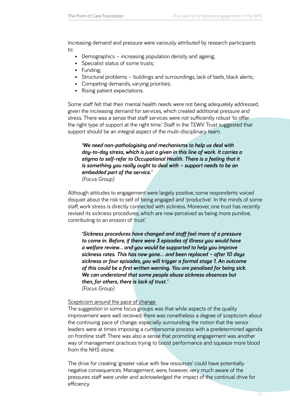Increasing demand and pressure were variously attributed by research participants to:

- Demographics increasing population density and ageing;
- Specialist status of some trusts;
- • Funding;
- Structural problems buildings and surroundings, lack of beds, black alerts;
- • Competing demands, varying priorities;
- Rising patient expectations.

Some staff felt that their mental health needs were not being adequately addressed, given the increasing demand for services, which created additional pressure and stress. There was a sense that staff services were not sufficiently robust 'to offer the right type of support at the right time.' Staff in the TEWV Trust suggested that support should be an integral aspect of the multi-disciplinary team.

*'We need non-pathologising and mechanisms to help us deal with day-to-day stress, which is just a given in this line of work. It carries a stigma to self-refer to Occupational Health. There is a feeling that it is something you really ought to deal with – support needs to be an embedded part of the service.' (Focus Group)*

Although attitudes to engagement were largely positive, some respondents voiced disquiet about the risk to self of being engaged and 'productive'. In the minds of some staff, work stress is directly connected with sickness. Moreover, one trust has recently revised its sickness procedures, which are now perceived as being more punitive, contributing to an erosion of 'trust'.

*'Sickness procedures have changed and staff feel more of a pressure to come in. Before, if there were 3 episodes of illness you would have a welfare review… and you would be supported to help you improve sickness rates. This has now gone… and been replaced – after 10 days sickness or four episodes, you will trigger a formal stage 1. An outcome of this could be a first written warning. You are penalised for being sick. We can understand that some people abuse sickness absences but then, for others, there is lack of trust.' (Focus Group)*

#### Scepticism around the pace of change

The suggestion in some focus groups was that while aspects of the quality improvement were well received, there was nonetheless a degree of scepticism about the continuing pace of change; especially surrounding the notion that the senior leaders were at times imposing a cumbersome process with a predetermined agenda on frontline staff. There was also a sense that promoting engagement was another way of management practices trying to boost performance and squeeze more blood from the NHS stone.

The drive for creating 'greater value with few resources' could have potentially negative consequences. Management, were, however, very much aware of the pressures staff were under and acknowledged the impact of the continual drive for efficiency.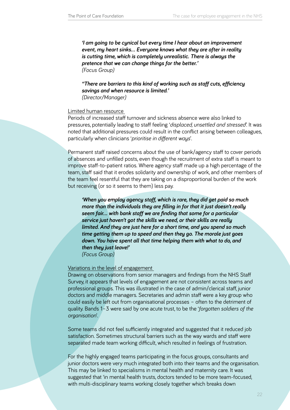*'I am going to be cynical but every time I hear about an improvement event, my heart sinks… Everyone knows what they are after in reality is cutting time, which is completely unrealistic. There is always the pretence that we can change things for the better.' (Focus Group)*

*''There are barriers to this kind of working such as staff cuts, efficiency savings and when resource is limited.' (Director/Manager)*

#### Limited human resource

Periods of increased staff turnover and sickness absence were also linked to pressures, potentially leading to staff feeling '*displaced, unsettled and stressed'*. It was noted that additional pressures could result in the conflict arising between colleagues, particularly when clinicians '*prioritise in different ways*'.

Permanent staff raised concerns about the use of bank/agency staff to cover periods of absences and unfilled posts, even though the recruitment of extra staff is meant to improve staff-to-patient ratios. Where agency staff made up a high percentage of the team, staff said that it erodes solidarity and ownership of work, and other members of the team feel resentful that they are taking on a disproportional burden of the work but receiving (or so it seems to them) less pay.

*'When you employ agency staff, which is rare, they did get paid so much more than the individuals they are filling in for that it just doesn't really seem fair… with bank staff we are finding that some for a particular service just haven't got the skills we need, or their skills are really limited. And they are just here for a short time, and you spend so much time getting them up to speed and then they go. The morale just goes down. You have spent all that time helping them with what to do, and then they just leave!'* 

*(Focus Group)*

#### Variations in the level of engagement

Drawing on observations from senior managers and findings from the NHS Staff Survey, it appears that levels of engagement are not consistent across teams and professional groups. This was illustrated in the case of admin/clerical staff, junior doctors and middle managers. Secretaries and admin staff were a key group who could easily be left out from organisational processes – often to the detriment of quality. Bands 1–3 were said by one acute trust, to be the '*forgotten soldiers of the organisation*'.

Some teams did not feel sufficiently integrated and suggested that it reduced job satisfaction. Sometimes structural barriers such as the way wards and staff were separated made team working difficult, which resulted in feelings of frustration.

For the highly engaged teams participating in the focus groups, consultants and junior doctors were very much integrated both into their teams and the organisation. This may be linked to specialisms in mental health and maternity care. It was suggested that 'in mental health trusts, doctors tended to be more team-focused, with multi-disciplinary teams working closely together which breaks down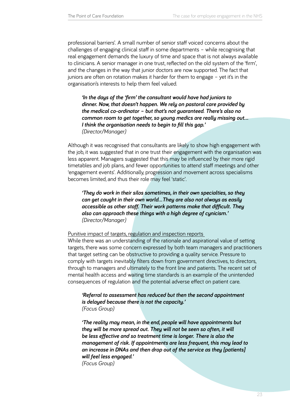professional barriers'. A small number of senior staff voiced concerns about the challenges of engaging clinical staff in some departments – while recognising that real engagement demands the luxury of time and space that is not always available to clinicians. A senior manager in one trust, reflected on the old system of the 'firm', and the changes in the way that junior doctors are now supported. The fact that juniors are often on rotation makes it harder for them to engage – yet it's in the organisation's interests to help them feel valued.

*'In the days of the 'firm' the consultant would have had juniors to dinner. Now, that doesn't happen. We rely on pastoral care provided by the medical co-ordinator – but that's not guaranteed. There's also no common room to get together, so young medics are really missing out... I think the organisation needs to begin to fill this gap.' (Director/Manager)*

Although it was recognised that consultants are likely to show high engagement with the job, it was suggested that in one trust their engagement with the organisation was less apparent. Managers suggested that this may be influenced by their more rigid timetables and job plans, and fewer opportunities to attend staff meetings and other 'engagement events'. Additionally, progression and movement across specialisms becomes limited, and thus their role may feel 'static'.

*'They do work in their silos sometimes, in their own specialties, so they can get caught in their own world…They are also not always as easily accessible as other staff. Their work patterns make that difficult. They also can approach these things with a high degree of cynicism.' (Director/Manager)*

Punitive impact of targets, regulation and inspection reports

While there was an understanding of the rationale and aspirational value of setting targets, there was some concern expressed by both team managers and practitioners that target setting can be obstructive to providing a quality service. Pressure to comply with targets inevitably filters down from government directives, to directors, through to managers and ultimately to the front line and patients. The recent set of mental health access and waiting time standards is an example of the unintended consequences of regulation and the potential adverse effect on patient care.

*'Referral to assessment has reduced but then the second appointment is delayed because there is not the capacity.' (Focus Group)* 

*'The reality may mean, in the end, people will have appointments but they will be more spread out. They will not be seen so often, it will be less effective and so treatment time is longer. There is also the management of risk. If appointments are less frequent, this may lead to an increase in DNAs and then drop out of the service as they [patients] will feel less engaged.'* 

*(Focus Group)*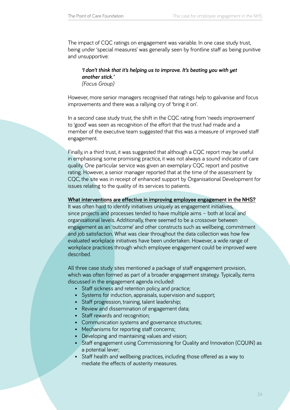The impact of CQC ratings on engagement was variable. In one case study trust, being under 'special measures' was generally seen by frontline staff as being punitive and unsupportive:

#### *'I don't think that it's helping us to improve. It's beating you with yet another stick.' (Focus Group)*

However, more senior managers recognised that ratings help to galvanise and focus improvements and there was a rallying cry of 'bring it on'.

In a second case study trust, the shift in the CQC rating from 'needs improvement' to 'good' was seen as recognition of the effort that the trust had made and a member of the executive team suggested that this was a measure of improved staff engagement.

Finally, in a third trust, it was suggested that although a CQC report may be useful in emphasising some promising practice, it was not always a sound indicator of care quality. One particular service was given an exemplary CQC report and positive rating. However, a senior manager reported that at the time of the assessment by CQC, the site was in receipt of enhanced support by Organisational Development for issues relating to the quality of its services to patients.

#### **What interventions are effective in improving employee engagement in the NHS?**

It was often hard to identify initiatives uniquely as engagement initiatives, since projects and processes tended to have multiple aims – both at local and organisational levels. Additionally, there seemed to be a crossover between engagement as an 'outcome' and other constructs such as wellbeing, commitment and job satisfaction. What was clear throughout the data collection was how few evaluated workplace initiatives have been undertaken. However, a wide range of workplace practices through which employee engagement could be improved were described.

All three case study sites mentioned a package of staff engagement provision, which was often formed as part of a broader engagement strategy. Typically, items discussed in the engagement agenda included:

- Staff sickness and retention policy, and practice;
- Systems for induction, appraisals, supervision and support;
- Staff progression, training, talent leadership;
- • Review and dissemination of engagement data;
- Staff rewards and recognition;
- Communication systems and governance structures;
- Mechanisms for reporting staff concerns;
- Developing and maintaining values and vision;
- Staff engagement using Commissioning for Quality and Innovation (CQUIN) as a potential lever;
- Staff health and wellbeing practices, including those offered as a way to mediate the effects of austerity measures.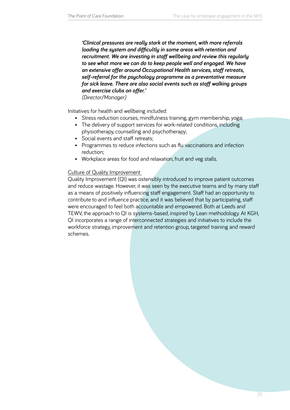*'Clinical pressures are really stark at the moment, with more referrals loading the system and difficultly in some areas with retention and recruitment. We are investing in staff wellbeing and review this regularly to see what more we can do to keep people well and engaged. We have an extensive offer around Occupational Health services, staff retreats, self-referral for the psychology programme as a preventative measure for sick leave. There are also social events such as staff walking groups and exercise clubs on offer.'* 

*(Director/Manager)*

Initiatives for health and wellbeing included:

- Stress reduction courses, mindfulness training, gym membership, yoga;
- The delivery of support services for work-related conditions, including physiotherapy, counselling and psychotherapy;
- Social events and staff retreats;
- Programmes to reduce infections such as flu vaccinations and infection reduction;
- Workplace areas for food and relaxation, fruit and veg stalls.

# Culture of Quality Improvement

Quality Improvement (QI) was ostensibly introduced to improve patient outcomes and reduce wastage. However, it was seen by the executive teams and by many staff as a means of positively influencing staff engagement. Staff had an opportunity to contribute to and influence practice, and it was believed that by participating, staff were encouraged to feel both accountable and empowered. Both at Leeds and TEWV, the approach to QI is systems-based, inspired by Lean methodology. At KGH, QI incorporates a range of interconnected strategies and initiatives to include the workforce strategy, improvement and retention group, targeted training and reward schemes.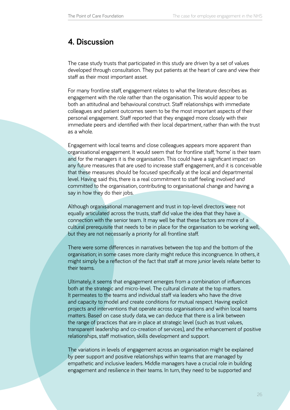# <span id="page-25-0"></span>**4. Discussion**

The case study trusts that participated in this study are driven by a set of values developed through consultation. They put patients at the heart of care and view their staff as their most important asset.

For many frontline staff, engagement relates to what the literature describes as engagement with the role rather than the organisation. This would appear to be both an attitudinal and behavioural construct. Staff relationships with immediate colleagues and patient outcomes seem to be the most important aspects of their personal engagement. Staff reported that they engaged more closely with their immediate peers and identified with their local department, rather than with the trust as a whole.

Engagement with local teams and close colleagues appears more apparent than organisational engagement. It would seem that for frontline staff, 'home' is their team and for the managers it is the organisation. This could have a significant impact on any future measures that are used to increase staff engagement, and it is conceivable that these measures should be focused specifically at the local and departmental level. Having said this, there is a real commitment to staff feeling involved and committed to the organisation, contributing to organisational change and having a say in how they do their jobs.

Although organisational management and trust in top-level directors were not equally articulated across the trusts, staff did value the idea that they have a connection with the senior team. It may well be that these factors are more of a cultural prerequisite that needs to be in place for the organisation to be working well, but they are not necessarily a priority for all frontline staff.

There were some differences in narratives between the top and the bottom of the organisation; in some cases more clarity might reduce this incongruence. In others, it might simply be a reflection of the fact that staff at more junior levels relate better to their teams.

Ultimately, it seems that engagement emerges from a combination of influences both at the strategic and micro-level. The cultural climate at the top matters. It permeates to the teams and individual staff via leaders who have the drive and capacity to model and create conditions for mutual respect. Having explicit projects and interventions that operate across organisations and within local teams matters. Based on case study data, we can deduce that there is a link between the range of practices that are in place at strategic level (such as trust values, transparent leadership and co-creation of services), and the enhancement of positive relationships, staff motivation, skills development and support.

The variations in levels of engagement across an organisation might be explained by peer support and positive relationships within teams that are managed by empathetic and inclusive leaders. Middle managers have a crucial role in building engagement and resilience in their teams. In turn, they need to be supported and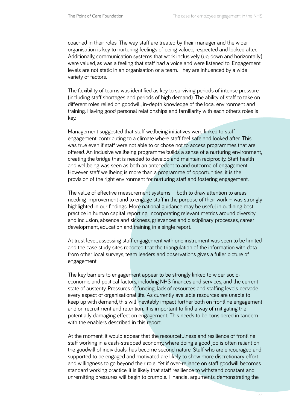coached in their roles. The way staff are treated by their manager and the wider organisation is key to nurturing feelings of being valued, respected and looked after. Additionally, communication systems that work inclusively (up, down and horizontally) were valued, as was a feeling that staff had a voice and were listened to. Engagement levels are not static in an organisation or a team. They are influenced by a wide variety of factors.

The flexibility of teams was identified as key to surviving periods of intense pressure (including staff shortages and periods of high demand). The ability of staff to take on different roles relied on goodwill, in-depth knowledge of the local environment and training. Having good personal relationships and familiarity with each other's roles is key.

Management suggested that staff wellbeing initiatives were linked to staff engagement, contributing to a climate where staff feel safe and looked after. This was true even if staff were not able to or chose not to access programmes that are offered. An inclusive wellbeing programme builds a sense of a nurturing environment, creating the bridge that is needed to develop and maintain reciprocity. Staff health and wellbeing was seen as both an antecedent to and outcome of engagement. However, staff wellbeing is more than a programme of opportunities; it is the provision of the right environment for nurturing staff and fostering engagement.

The value of effective measurement systems – both to draw attention to areas needing improvement and to engage staff in the purpose of their work – was strongly highlighted in our findings. More national guidance may be useful in outlining best practice in human capital reporting, incorporating relevant metrics around diversity and inclusion, absence and sickness, grievances and disciplinary processes, career development, education and training in a single report.

At trust level, assessing staff engagement with one instrument was seen to be limited and the case study sites reported that the triangulation of the information with data from other local surveys, team leaders and observations gives a fuller picture of engagement.

The key barriers to engagement appear to be strongly linked to wider socioeconomic and political factors, including NHS finances and services, and the current state of austerity. Pressures of funding, lack of resources and staffing levels pervade every aspect of organisational life. As currently available resources are unable to keep up with demand, this will inevitably impact further both on frontline engagement and on recruitment and retention. It is important to find a way of mitigating the potentially damaging effect on engagement. This needs to be considered in tandem with the enablers described in this report.

At the moment, it would appear that the resourcefulness and resilience of frontline staff working in a cash-strapped economy, where doing a good job is often reliant on the goodwill of individuals, has become second nature. Staff who are encouraged and supported to be engaged and motivated are likely to show more discretionary effort and willingness to go beyond their role. Yet if over-reliance on staff goodwill becomes standard working practice, it is likely that staff resilience to withstand constant and unremitting pressures will begin to crumble. Financial arguments, demonstrating the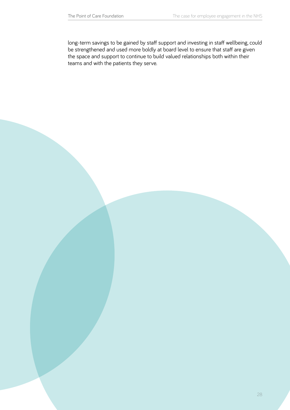long-term savings to be gained by staff support and investing in staff wellbeing, could be strengthened and used more boldly at board level to ensure that staff are given the space and support to continue to build valued relationships both within their teams and with the patients they serve.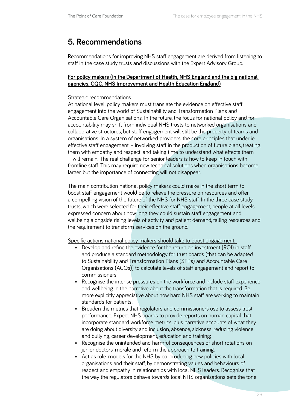# <span id="page-28-0"></span>**5. Recommendations**

Recommendations for improving NHS staff engagement are derived from listening to staff in the case study trusts and discussions with the Expert Advisory Group.

# **For policy makers (in the Department of Health, NHS England and the big national agencies, CQC, NHS Improvement and Health Education England)**

# Strategic recommendations

At national level, policy makers must translate the evidence on effective staff engagement into the world of Sustainability and Transformation Plans and Accountable Care Organisations. In the future, the focus for national policy and for accountability may shift from individual NHS trusts to networked organisations and collaborative structures, but staff engagement will still be the property of teams and organisations. In a system of networked providers, the core principles that underlie effective staff engagement – involving staff in the production of future plans, treating them with empathy and respect, and taking time to understand what effects them – will remain. The real challenge for senior leaders is how to keep in touch with frontline staff. This may require new technical solutions when organisations become larger, but the importance of connecting will not disappear.

The main contribution national policy makers could make in the short term to boost staff engagement would be to relieve the pressure on resources and offer a compelling vision of the future of the NHS for NHS staff. In the three case study trusts, which were selected for their effective staff engagement, people at all levels expressed concern about how long they could sustain staff engagement and wellbeing alongside rising levels of activity and patient demand, falling resources and the requirement to transform services on the ground.

Specific actions national policy makers should take to boost engagement:

- Develop and refine the evidence for the return on investment (ROI) in staff and produce a standard methodology for trust boards (that can be adapted to Sustainability and Transformation Plans (STPs) and Accountable Care Organisations (ACOs)) to calculate levels of staff engagement and report to commissioners;
- Recognise the intense pressures on the workforce and include staff experience and wellbeing in the narrative about the transformation that is required. Be more explicitly appreciative about how hard NHS staff are working to maintain standards for patients;
- Broaden the metrics that regulators and commissioners use to assess trust performance. Expect NHS boards to provide reports on human capital that incorporate standard workforce metrics, plus narrative accounts of what they are doing about diversity and inclusion, absence, sickness, reducing violence and bullying, career development, education and training;
- Recognise the unintended and harmful consequences of short rotations on junior doctors' morale and reform the approach to training;
- Act as role-models for the NHS by co-producing new policies with local organisations and their staff, by demonstrating values and behaviours of respect and empathy in relationships with local NHS leaders. Recognise that the way the regulators behave towards local NHS organisations sets the tone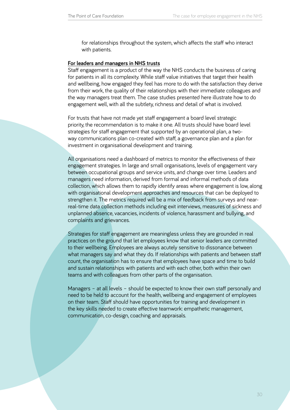for relationships throughout the system, which affects the staff who interact with patients.

#### **For leaders and managers in NHS trusts**

Staff engagement is a product of the way the NHS conducts the business of caring for patients in all its complexity. While staff value initiatives that target their health and wellbeing, how engaged they feel has more to do with the satisfaction they derive from their work, the quality of their relationships with their immediate colleagues and the way managers treat them. The case studies presented here illustrate how to do engagement well, with all the subtlety, richness and detail of what is involved.

For trusts that have not made yet staff engagement a board level strategic priority, the recommendation is to make it one. All trusts should have board level strategies for staff engagement that supported by an operational plan, a twoway communications plan co-created with staff, a governance plan and a plan for investment in organisational development and training.

All organisations need a dashboard of metrics to monitor the effectiveness of their engagement strategies. In large and small organisations, levels of engagement vary between occupational groups and service units, and change over time. Leaders and managers need information, derived from formal and informal methods of data collection, which allows them to rapidly identify areas where engagement is low, along with organisational development approaches and resources that can be deployed to strengthen it. The metrics required will be a mix of feedback from surveys and nearreal-time data collection methods including exit interviews, measures of sickness and unplanned absence, vacancies, incidents of violence, harassment and bullying, and complaints and grievances.

Strategies for staff engagement are meaningless unless they are grounded in real practices on the ground that let employees know that senior leaders are committed to their wellbeing. Employees are always acutely sensitive to dissonance between what managers say and what they do. If relationships with patients and between staff count, the organisation has to ensure that employees have space and time to build and sustain relationships with patients and with each other, both within their own teams and with colleagues from other parts of the organisation.

Managers – at all levels – should be expected to know their own staff personally and need to be held to account for the health, wellbeing and engagement of employees on their team. Staff should have opportunities for training and development in the key skills needed to create effective teamwork: empathetic management, communication, co-design, coaching and appraisals.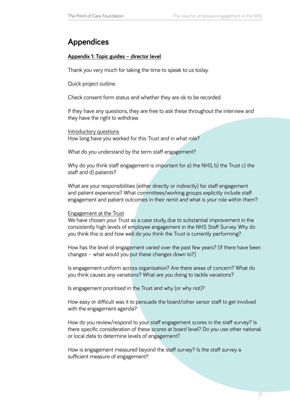# <span id="page-30-0"></span>**Appendices**

## **Appendix 1: Topic guides – director level**

Thank you very much for taking the time to speak to us today.

Quick project outline.

Check consent form status and whether they are ok to be recorded.

If they have any questions, they are free to ask these throughout the interview and they have the right to withdraw.

Introductory questions How long have you worked for this Trust and in what role?

What do you understand by the term staff engagement?

Why do you think staff engagement is important for a) the NHS, b) the Trust c) the staff and d) patients?

What are your responsibilities (either directly or indirectly) for staff engagement and patient experience? What committees/working groups explicitly include staff engagement and patient outcomes in their remit and what is your role within them?

#### Engagement at the Trust

We have chosen your Trust as a case study, due to substantial improvement in the consistently high levels of employee engagement in the NHS Staff Survey. Why do you think this is and how well do you think the Trust is currently performing?

How has the level of engagement varied over the past few years? (If there have been changes – what would you put these changes down to?)

Is engagement uniform across organisation? Are there areas of concern? What do you think causes any variations? What are you doing to tackle variations?

Is engagement prioritised in the Trust and why (or why not)?

How easy or difficult was it to persuade the board/other senior staff to get involved with the engagement agenda?

How do you review/respond to your staff engagement scores in the staff survey? Is there specific consideration of these scores at board level? Do you use other national or local data to determine levels of engagement?

How is engagement measured beyond the staff survey? Is the staff survey a sufficient measure of engagement?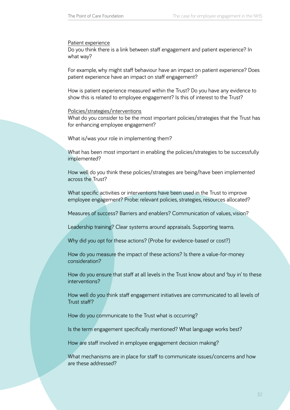#### Patient experience

Do you think there is a link between staff engagement and patient experience? In what way?

For example, why might staff behaviour have an impact on patient experience? Does patient experience have an impact on staff engagement?

How is patient experience measured within the Trust? Do you have any evidence to show this is related to employee engagement? Is this of interest to the Trust?

#### Policies/strategies/interventions

What do you consider to be the most important policies/strategies that the Trust has for enhancing employee engagement?

What is/was your role in implementing them?

What has been most important in enabling the policies/strategies to be successfully implemented?

How well do you think these policies/strategies are being/have been implemented across the Trust?

What specific activities or interventions have been used in the Trust to improve employee engagement? Probe: relevant policies, strategies, resources allocated?

Measures of success? Barriers and enablers? Communication of values, vision?

Leadership training? Clear systems around appraisals. Supporting teams.

Why did you opt for these actions? (Probe for evidence-based or cost?)

How do you measure the impact of these actions? Is there a value-for-money consideration?

How do you ensure that staff at all levels in the Trust know about and 'buy in' to these interventions?

How well do you think staff engagement initiatives are communicated to all levels of Trust staff?

How do you communicate to the Trust what is occurring?

Is the term engagement specifically mentioned? What language works best?

How are staff involved in employee engagement decision making?

What mechanisms are in place for staff to communicate issues/concerns and how are these addressed?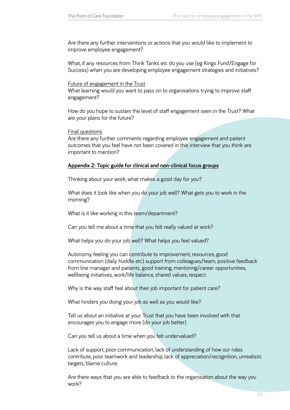Are there any further interventions or actions that you would like to implement to improve employee engagement?

What, if any resources from Think Tanks etc do you use (eg Kings Fund/Engage for Success) when you are developing employee engagement strategies and initiatives?

#### Future of engagement in the Trust

What learning would you want to pass on to organisations trying to improve staff engagement?

How do you hope to sustain the level of staff engagement seen in the Trust? What are your plans for the future?

Final questions

Are there any further comments regarding employee engagement and patient outcomes that you feel have not been covered in this interview that you think are important to mention?

#### **Appendix 2: Topic guide for clinical and non-clinical focus groups**

Thinking about your work, what makes a good day for you?

What does it look like when you do your job well? What gets you to work in the morning?

What is it like working in this team/department?

Can you tell me about a time that you felt really valued at work?

What helps you do your job well? What helps you feel valued?

Autonomy, feeling you can contribute to improvement, resources, good communication (daily huddle etc) support from colleagues/team, positive feedback from line manager and patients, good training, mentoring/career opportunities, wellbeing initiatives, work/life balance, shared values, respect.

Why is the way staff feel about their job important for patient care?

What hinders you doing your job as well as you would like?

Tell us about an initiative at your Trust that you have been involved with that encourages you to engage more (do your job better)

Can you tell us about a time when you felt undervalued?

Lack of support, poor communication, lack of understanding of how our roles contribute, poor teamwork and leadership, lack of appreciation/recognition, unrealistic targets, blame culture.

Are there ways that you are able to feedback to the organisation about the way you work?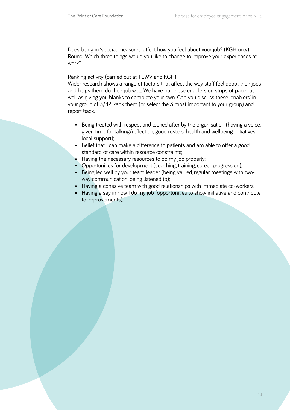Does being in 'special measures' affect how you feel about your job? (KGH only) Round: Which three things would you like to change to improve your experiences at work?

#### Ranking activity (carried out at TEWV and KGH)

Wider research shows a range of factors that affect the way staff feel about their jobs and helps them do their job well. We have put these enablers on strips of paper as well as giving you blanks to complete your own. Can you discuss these 'enablers' in your group of 3/4? Rank them (or select the 3 most important to your group) and report back.

- Being treated with respect and looked after by the organisation (having a voice, given time for talking/reflection, good rosters, health and wellbeing initiatives, local support);
- Belief that I can make a difference to patients and am able to offer a good standard of care within resource constraints;
- Having the necessary resources to do my job properly;
- Opportunities for development (coaching, training, career progression);
- Being led well by your team leader (being valued, regular meetings with twoway communication, being listened to);
- Having a cohesive team with good relationships with immediate co-workers;
- Having a say in how I do my job (opportunities to show initiative and contribute to improvements).